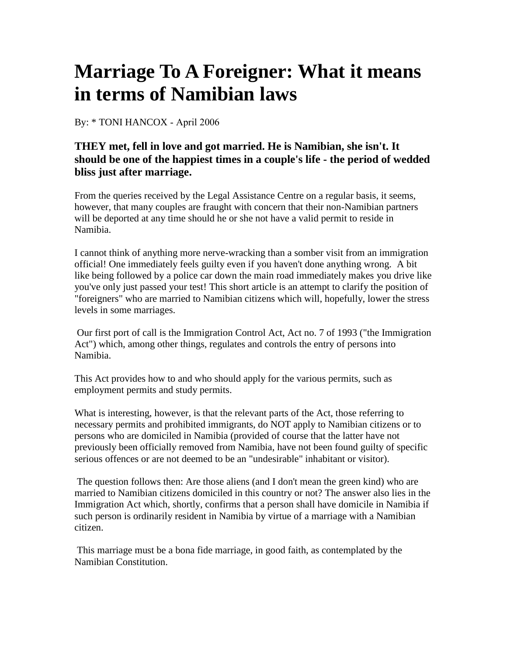## **Marriage To A Foreigner: What it means in terms of Namibian laws**

By: \* TONI HANCOX - April 2006

## **THEY met, fell in love and got married. He is Namibian, she isn't. It should be one of the happiest times in a couple's life - the period of wedded bliss just after marriage.**

From the queries received by the Legal Assistance Centre on a regular basis, it seems, however, that many couples are fraught with concern that their non-Namibian partners will be deported at any time should he or she not have a valid permit to reside in Namibia.

I cannot think of anything more nerve-wracking than a somber visit from an immigration official! One immediately feels guilty even if you haven't done anything wrong. A bit like being followed by a police car down the main road immediately makes you drive like you've only just passed your test! This short article is an attempt to clarify the position of "foreigners" who are married to Namibian citizens which will, hopefully, lower the stress levels in some marriages.

 Our first port of call is the [Immigration Control Act, Act no. 7 of 1993](http://www.lac.org.na/index.php/laws/statutes/#I) ("the Immigration Act") which, among other things, regulates and controls the entry of persons into Namibia.

This Act provides how to and who should apply for the various permits, such as employment permits and study permits.

What is interesting, however, is that the relevant parts of the Act, those referring to necessary permits and prohibited immigrants, do NOT apply to Namibian citizens or to persons who are domiciled in Namibia (provided of course that the latter have not previously been officially removed from Namibia, have not been found guilty of specific serious offences or are not deemed to be an "undesirable" inhabitant or visitor).

 The question follows then: Are those aliens (and I don't mean the green kind) who are married to Namibian citizens domiciled in this country or not? The answer also lies in the Immigration Act which, shortly, confirms that a person shall have domicile in Namibia if such person is ordinarily resident in Namibia by virtue of a marriage with a Namibian citizen.

 This marriage must be a bona fide marriage, in good faith, as contemplated by the Namibian Constitution.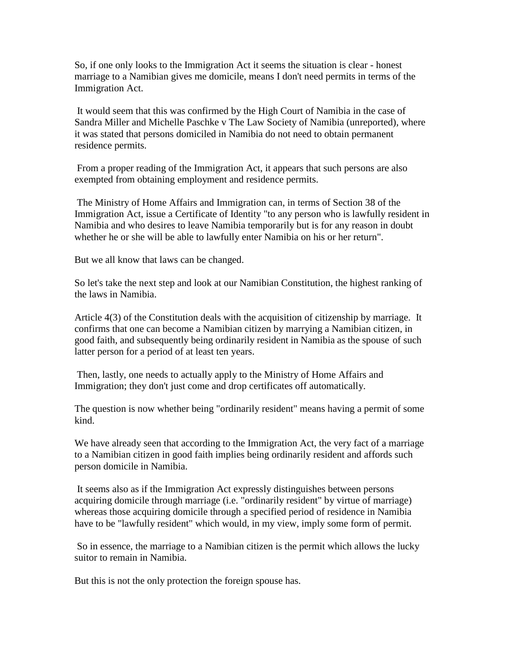So, if one only looks to the Immigration Act it seems the situation is clear - honest marriage to a Namibian gives me domicile, means I don't need permits in terms of the Immigration Act.

It would seem that this was confirmed by the High Court of Namibia in the case of Sandra Miller and Michelle Paschke v The Law Society of Namibia (unreported), where it was stated that persons domiciled in Namibia do not need to obtain permanent residence permits.

 From a proper reading of the Immigration Act, it appears that such persons are also exempted from obtaining employment and residence permits.

 The Ministry of Home Affairs and Immigration can, in terms of Section 38 of the Immigration Act, issue a Certificate of Identity "to any person who is lawfully resident in Namibia and who desires to leave Namibia temporarily but is for any reason in doubt whether he or she will be able to lawfully enter Namibia on his or her return".

But we all know that laws can be changed.

So let's take the next step and look at our Namibian Constitution, the highest ranking of the laws in Namibia.

[Article 4\(3\) of the Constitution](http://www.lac.org.na/laws/annoStat/Namibian Constitution.pdf) deals with the acquisition of citizenship by marriage. It confirms that one can become a Namibian citizen by marrying a Namibian citizen, in good faith, and subsequently being ordinarily resident in Namibia as the spouse of such latter person for a period of at least ten years.

 Then, lastly, one needs to actually apply to the Ministry of Home Affairs and Immigration; they don't just come and drop certificates off automatically.

The question is now whether being "ordinarily resident" means having a permit of some kind.

We have already seen that according to the Immigration Act, the very fact of a marriage to a Namibian citizen in good faith implies being ordinarily resident and affords such person domicile in Namibia.

It seems also as if the Immigration Act expressly distinguishes between persons acquiring domicile through marriage (i.e. "ordinarily resident" by virtue of marriage) whereas those acquiring domicile through a specified period of residence in Namibia have to be "lawfully resident" which would, in my view, imply some form of permit.

 So in essence, the marriage to a Namibian citizen is the permit which allows the lucky suitor to remain in Namibia.

But this is not the only protection the foreign spouse has.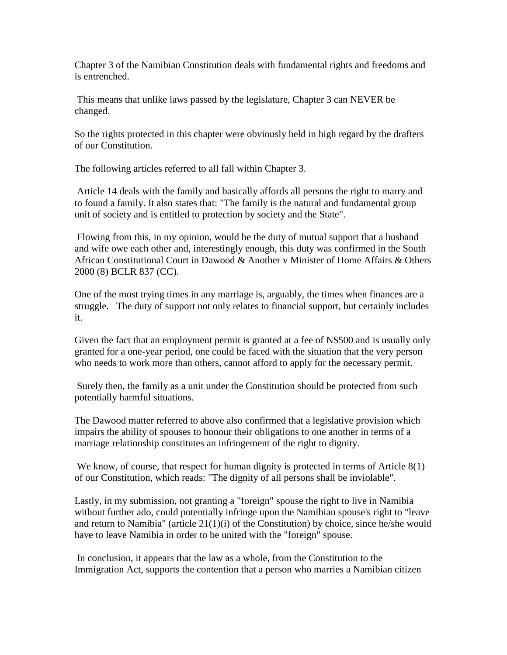Chapter 3 of the Namibian Constitution deals with fundamental rights and freedoms and is entrenched.

This means that unlike laws passed by the legislature, Chapter 3 can NEVER be changed.

So the rights protected in this chapter were obviously held in high regard by the drafters of our Constitution.

The following articles referred to all fall within Chapter 3.

Article 14 deals with the family and basically affords all persons the right to marry and to found a family. It also states that: "The family is the natural and fundamental group unit of society and is entitled to protection by society and the State".

Flowing from this, in my opinion, would be the duty of mutual support that a husband and wife owe each other and, interestingly enough, this duty was confirmed in the South African Constitutional Court in Dawood & Another v Minister of Home Affairs & Others 2000 (8) BCLR 837 (CC).

One of the most trying times in any marriage is, arguably, the times when finances are a struggle. The duty of support not only relates to financial support, but certainly includes it.

Given the fact that an employment permit is granted at a fee of N\$500 and is usually only granted for a one-year period, one could be faced with the situation that the very person who needs to work more than others, cannot afford to apply for the necessary permit.

Surely then, the family as a unit under the Constitution should be protected from such potentially harmful situations.

The Dawood matter referred to above also confirmed that a legislative provision which impairs the ability of spouses to honour their obligations to one another in terms of a marriage relationship constitutes an infringement of the right to dignity.

We know, of course, that respect for human dignity is protected in terms of Article 8(1) of our Constitution, which reads: "The dignity of all persons shall be inviolable".

Lastly, in my submission, not granting a "foreign" spouse the right to live in Namibia without further ado, could potentially infringe upon the Namibian spouse's right to "leave and return to Namibia" (article 21(1)(i) of the Constitution) by choice, since he/she would have to leave Namibia in order to be united with the "foreign" spouse.

In conclusion, it appears that the law as a whole, from the Constitution to the Immigration Act, supports the contention that a person who marries a Namibian citizen